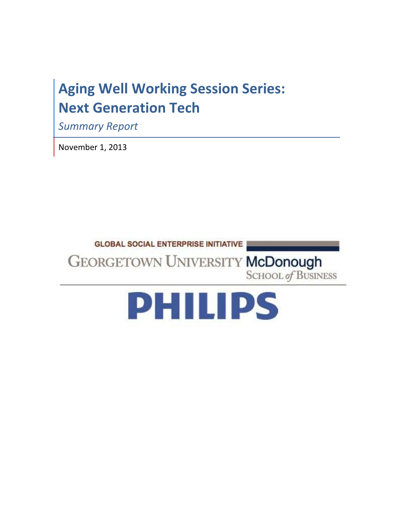# Aging Well Working Session Series: Next Generation Tech

Summary Report

November 1, 2013



**GEORGETOWN UNIVERSITY McDonough SCHOOL of BUSINESS** 

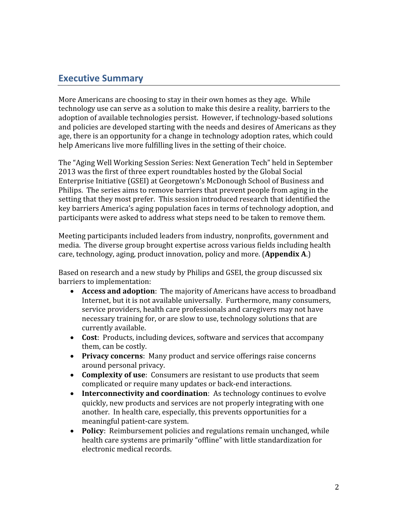# Executive Summary

More Americans are choosing to stay in their own homes as they age. While technology use can serve as a solution to make this desire a reality, barriers to the adoption of available technologies persist. However, if technology-based solutions and policies are developed starting with the needs and desires of Americans as they age, there is an opportunity for a change in technology adoption rates, which could help Americans live more fulfilling lives in the setting of their choice.

The "Aging Well Working Session Series: Next Generation Tech" held in September 2013 was the first of three expert roundtables hosted by the Global Social Enterprise Initiative (GSEI) at Georgetown's McDonough School of Business and Philips. The series aims to remove barriers that prevent people from aging in the setting that they most prefer. This session introduced research that identified the key barriers America's aging population faces in terms of technology adoption, and participants were asked to address what steps need to be taken to remove them.

Meeting participants included leaders from industry, nonprofits, government and media. The diverse group brought expertise across various fields including health care, technology, aging, product innovation, policy and more. (**Appendix A.**)

Based on research and a new study by Philips and GSEI, the group discussed six barriers to implementation:

- Access and adoption: The majority of Americans have access to broadband Internet, but it is not available universally. Furthermore, many consumers, service providers, health care professionals and caregivers may not have necessary training for, or are slow to use, technology solutions that are currently available.
- Cost: Products, including devices, software and services that accompany them, can be costly.
- Privacy concerns: Many product and service offerings raise concerns around personal privacy.
- Complexity of use: Consumers are resistant to use products that seem complicated or require many updates or back-end interactions.
- Interconnectivity and coordination: As technology continues to evolve quickly, new products and services are not properly integrating with one another. In health care, especially, this prevents opportunities for a meaningful patient-care system.
- Policy: Reimbursement policies and regulations remain unchanged, while health care systems are primarily "offline" with little standardization for electronic medical records.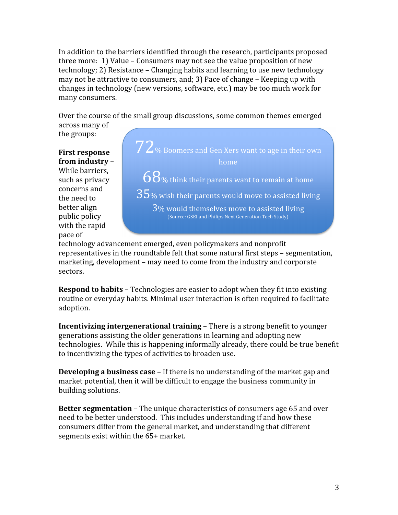In addition to the barriers identified through the research, participants proposed three more: 1) Value – Consumers may not see the value proposition of new technology; 2) Resistance – Changing habits and learning to use new technology may not be attractive to consumers, and; 3) Pace of change – Keeping up with changes in technology (new versions, software, etc.) may be too much work for many consumers.

Over the course of the small group discussions, some common themes emerged across many of

the groups:

First response from industry –

While barriers, such as privacy concerns and the need to better align public policy with the rapid pace of



technology advancement emerged, even policymakers and nonprofit representatives in the roundtable felt that some natural first steps – segmentation, marketing, development – may need to come from the industry and corporate sectors.

**Respond to habits -** Technologies are easier to adopt when they fit into existing routine or everyday habits. Minimal user interaction is often required to facilitate adoption.

Incentivizing intergenerational training – There is a strong benefit to younger generations assisting the older generations in learning and adopting new technologies. While this is happening informally already, there could be true benefit to incentivizing the types of activities to broaden use.

Developing a business case - If there is no understanding of the market gap and market potential, then it will be difficult to engage the business community in building solutions.

Better segmentation - The unique characteristics of consumers age 65 and over need to be better understood. This includes understanding if and how these consumers differ from the general market, and understanding that different segments exist within the 65+ market.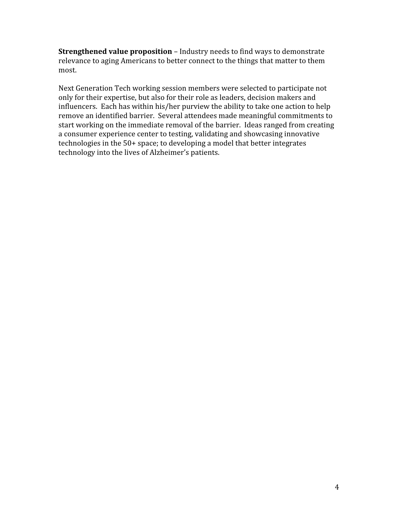Strengthened value proposition - Industry needs to find ways to demonstrate relevance to aging Americans to better connect to the things that matter to them most.

Next Generation Tech working session members were selected to participate not only for their expertise, but also for their role as leaders, decision makers and influencers. Each has within his/her purview the ability to take one action to help remove an identified barrier. Several attendees made meaningful commitments to start working on the immediate removal of the barrier. Ideas ranged from creating a consumer experience center to testing, validating and showcasing innovative technologies in the 50+ space; to developing a model that better integrates technology into the lives of Alzheimer's patients.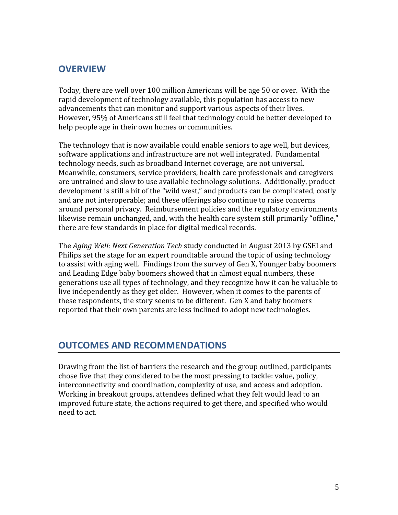# **OVERVIEW**

Today, there are well over 100 million Americans will be age 50 or over. With the rapid development of technology available, this population has access to new advancements that can monitor and support various aspects of their lives. However, 95% of Americans still feel that technology could be better developed to help people age in their own homes or communities.

The technology that is now available could enable seniors to age well, but devices, software applications and infrastructure are not well integrated. Fundamental technology needs, such as broadband Internet coverage, are not universal. Meanwhile, consumers, service providers, health care professionals and caregivers are untrained and slow to use available technology solutions. Additionally, product development is still a bit of the "wild west," and products can be complicated, costly and are not interoperable; and these offerings also continue to raise concerns around personal privacy. Reimbursement policies and the regulatory environments likewise remain unchanged, and, with the health care system still primarily "offline," there are few standards in place for digital medical records.

The Aging Well: Next Generation Tech study conducted in August 2013 by GSEI and Philips set the stage for an expert roundtable around the topic of using technology to assist with aging well. Findings from the survey of Gen X, Younger baby boomers and Leading Edge baby boomers showed that in almost equal numbers, these generations use all types of technology, and they recognize how it can be valuable to live independently as they get older. However, when it comes to the parents of these respondents, the story seems to be different. Gen X and baby boomers reported that their own parents are less inclined to adopt new technologies.

# OUTCOMES AND RECOMMENDATIONS

Drawing from the list of barriers the research and the group outlined, participants chose five that they considered to be the most pressing to tackle: value, policy, interconnectivity and coordination, complexity of use, and access and adoption. Working in breakout groups, attendees defined what they felt would lead to an improved future state, the actions required to get there, and specified who would need to act.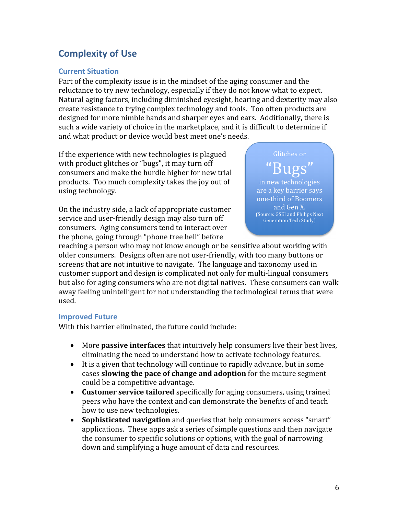# Complexity of Use

### Current Situation

Part of the complexity issue is in the mindset of the aging consumer and the reluctance to try new technology, especially if they do not know what to expect. Natural aging factors, including diminished eyesight, hearing and dexterity may also create resistance to trying complex technology and tools. Too often products are designed for more nimble hands and sharper eyes and ears. Additionally, there is such a wide variety of choice in the marketplace, and it is difficult to determine if and what product or device would best meet one's needs.

If the experience with new technologies is plagued with product glitches or "bugs", it may turn off consumers and make the hurdle higher for new trial products. Too much complexity takes the joy out of using technology.

On the industry side, a lack of appropriate customer service and user-friendly design may also turn off consumers. Aging consumers tend to interact over the phone, going through "phone tree hell" before



reaching a person who may not know enough or be sensitive about working with older consumers. Designs often are not user-friendly, with too many buttons or screens that are not intuitive to navigate. The language and taxonomy used in customer support and design is complicated not only for multi-lingual consumers but also for aging consumers who are not digital natives. These consumers can walk away feeling unintelligent for not understanding the technological terms that were used.

#### Improved Future

With this barrier eliminated, the future could include:

- More **passive interfaces** that intuitively help consumers live their best lives, eliminating the need to understand how to activate technology features.
- It is a given that technology will continue to rapidly advance, but in some cases slowing the pace of change and adoption for the mature segment could be a competitive advantage.
- Customer service tailored specifically for aging consumers, using trained peers who have the context and can demonstrate the benefits of and teach how to use new technologies.
- Sophisticated navigation and queries that help consumers access "smart" applications. These apps ask a series of simple questions and then navigate the consumer to specific solutions or options, with the goal of narrowing down and simplifying a huge amount of data and resources.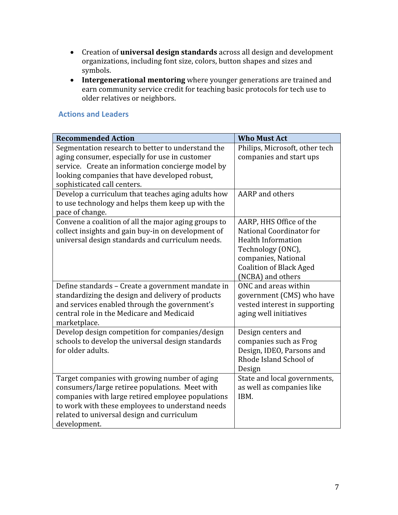- Creation of universal design standards across all design and development organizations, including font size, colors, button shapes and sizes and symbols.
- Intergenerational mentoring where younger generations are trained and earn community service credit for teaching basic protocols for tech use to older relatives or neighbors.

### Actions and Leaders

| <b>Recommended Action</b>                                                                  | <b>Who Must Act</b>                                     |
|--------------------------------------------------------------------------------------------|---------------------------------------------------------|
| Segmentation research to better to understand the                                          | Philips, Microsoft, other tech                          |
| aging consumer, especially for use in customer                                             | companies and start ups                                 |
| service. Create an information concierge model by                                          |                                                         |
| looking companies that have developed robust,                                              |                                                         |
| sophisticated call centers.                                                                |                                                         |
| Develop a curriculum that teaches aging adults how                                         | <b>AARP</b> and others                                  |
| to use technology and helps them keep up with the                                          |                                                         |
| pace of change.                                                                            |                                                         |
| Convene a coalition of all the major aging groups to                                       | AARP, HHS Office of the                                 |
| collect insights and gain buy-in on development of                                         | National Coordinator for                                |
| universal design standards and curriculum needs.                                           | <b>Health Information</b>                               |
|                                                                                            | Technology (ONC),                                       |
|                                                                                            | companies, National                                     |
|                                                                                            | <b>Coalition of Black Aged</b>                          |
|                                                                                            | (NCBA) and others                                       |
| Define standards - Create a government mandate in                                          | ONC and areas within                                    |
| standardizing the design and delivery of products                                          | government (CMS) who have                               |
| and services enabled through the government's<br>central role in the Medicare and Medicaid | vested interest in supporting<br>aging well initiatives |
| marketplace.                                                                               |                                                         |
| Develop design competition for companies/design                                            | Design centers and                                      |
| schools to develop the universal design standards                                          | companies such as Frog                                  |
| for older adults.                                                                          | Design, IDEO, Parsons and                               |
|                                                                                            | Rhode Island School of                                  |
|                                                                                            | Design                                                  |
| Target companies with growing number of aging                                              | State and local governments,                            |
| consumers/large retiree populations. Meet with                                             | as well as companies like                               |
| companies with large retired employee populations                                          | IBM.                                                    |
| to work with these employees to understand needs                                           |                                                         |
| related to universal design and curriculum                                                 |                                                         |
| development.                                                                               |                                                         |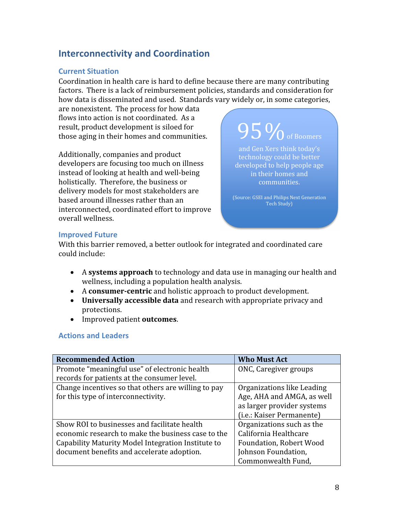# Interconnectivity and Coordination

### Current Situation

Coordination in health care is hard to define because there are many contributing factors. There is a lack of reimbursement policies, standards and consideration for how data is disseminated and used. Standards vary widely or, in some categories,

are nonexistent. The process for how data flows into action is not coordinated. As a result, product development is siloed for those aging in their homes and communities.

Additionally, companies and product developers are focusing too much on illness instead of looking at health and well-being holistically. Therefore, the business or delivery models for most stakeholders are based around illnesses rather than an interconnected, coordinated effort to improve overall wellness.

 $95\%$  of Boomers

and Gen Xers think today's technology could be better developed to help people age in their homes and communities.

(Source: GSEI and Philips Next Generation Tech Study)

### Improved Future

With this barrier removed, a better outlook for integrated and coordinated care could include:

- A systems approach to technology and data use in managing our health and wellness, including a population health analysis.
- A consumer-centric and holistic approach to product development.
- Universally accessible data and research with appropriate privacy and protections.
- Improved patient **outcomes**.

### Actions and Leaders

| <b>Recommended Action</b>                           | <b>Who Must Act</b>            |
|-----------------------------------------------------|--------------------------------|
| Promote "meaningful use" of electronic health       | ONC, Caregiver groups          |
| records for patients at the consumer level.         |                                |
| Change incentives so that others are willing to pay | Organizations like Leading     |
| for this type of interconnectivity.                 | Age, AHA and AMGA, as well     |
|                                                     | as larger provider systems     |
|                                                     | (i.e.: Kaiser Permanente)      |
| Show ROI to businesses and facilitate health        | Organizations such as the      |
| economic research to make the business case to the  | California Healthcare          |
| Capability Maturity Model Integration Institute to  | <b>Foundation, Robert Wood</b> |
| document benefits and accelerate adoption.          | Johnson Foundation,            |
|                                                     | Commonwealth Fund,             |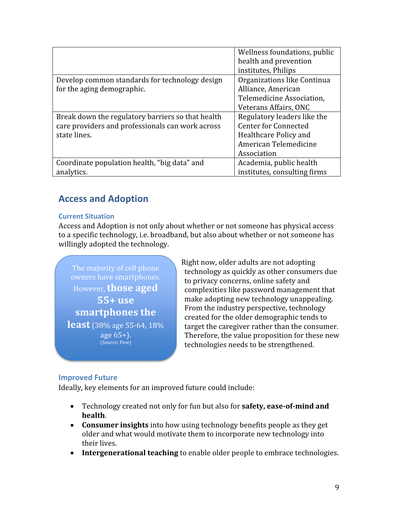|                                                   | Wellness foundations, public |
|---------------------------------------------------|------------------------------|
|                                                   | health and prevention        |
|                                                   | institutes, Philips          |
| Develop common standards for technology design    | Organizations like Continua  |
| for the aging demographic.                        | Alliance, American           |
|                                                   | Telemedicine Association.    |
|                                                   | Veterans Affairs, ONC        |
| Break down the regulatory barriers so that health | Regulatory leaders like the  |
| care providers and professionals can work across  | <b>Center for Connected</b>  |
| state lines.                                      | Healthcare Policy and        |
|                                                   | American Telemedicine        |
|                                                   | Association                  |
| Coordinate population health, "big data" and      | Academia, public health      |
| analytics.                                        | institutes, consulting firms |

# Access and Adoption

#### Current Situation

Access and Adoption is not only about whether or not someone has physical access to a specific technology, i.e. broadband, but also about whether or not someone has willingly adopted the technology.

owners have smartphones. However, those aged 55+ use smartphones the **least** (38% age 55-64, 18%) age 65+). (Source: Pew)

Right now, older adults are not adopting technology as quickly as other consumers due to privacy concerns, online safety and complexities like password management that make adopting new technology unappealing. From the industry perspective, technology created for the older demographic tends to target the caregiver rather than the consumer. Therefore, the value proposition for these new technologies needs to be strengthened.

#### Improved Future

Ideally, key elements for an improved future could include:

- Technology created not only for fun but also for **safety, ease-of-mind and** health.
- Consumer insights into how using technology benefits people as they get older and what would motivate them to incorporate new technology into their lives.
- Intergenerational teaching to enable older people to embrace technologies.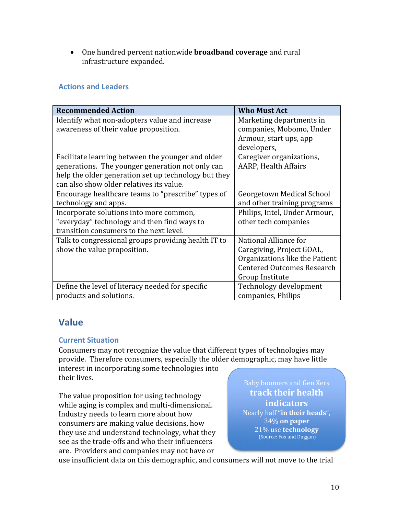• One hundred percent nationwide **broadband coverage** and rural infrastructure expanded.

## Actions and Leaders

| <b>Recommended Action</b>                            | <b>Who Must Act</b>               |
|------------------------------------------------------|-----------------------------------|
| Identify what non-adopters value and increase        | Marketing departments in          |
| awareness of their value proposition.                | companies, Mobomo, Under          |
|                                                      | Armour, start ups, app            |
|                                                      | developers,                       |
| Facilitate learning between the younger and older    | Caregiver organizations,          |
| generations. The younger generation not only can     | <b>AARP, Health Affairs</b>       |
| help the older generation set up technology but they |                                   |
| can also show older relatives its value.             |                                   |
| Encourage healthcare teams to "prescribe" types of   | Georgetown Medical School         |
| technology and apps.                                 | and other training programs       |
| Incorporate solutions into more common,              | Philips, Intel, Under Armour,     |
| "everyday" technology and then find ways to          | other tech companies              |
| transition consumers to the next level.              |                                   |
| Talk to congressional groups providing health IT to  | National Alliance for             |
| show the value proposition.                          | Caregiving, Project GOAL,         |
|                                                      | Organizations like the Patient    |
|                                                      | <b>Centered Outcomes Research</b> |
|                                                      | Group Institute                   |
| Define the level of literacy needed for specific     | Technology development            |
| products and solutions.                              | companies, Philips                |

# Value

### Current Situation

Consumers may not recognize the value that different types of technologies may provide. Therefore consumers, especially the older demographic, may have little

interest in incorporating some technologies into their lives.

The value proposition for using technology while aging is complex and multi-dimensional. Industry needs to learn more about how consumers are making value decisions, how they use and understand technology, what they see as the trade-offs and who their influencers are. Providers and companies may not have or

track their health indicators Nearly half "in their heads", 34% on paper 21% use technology (Source: Fox and Duggan)

use insufficient data on this demographic, and consumers will not move to the trial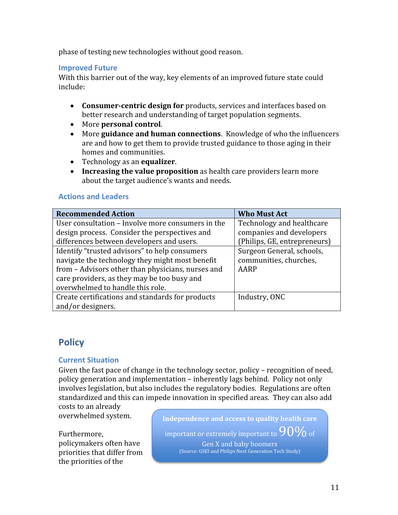phase of testing new technologies without good reason.

#### Improved Future

With this barrier out of the way, key elements of an improved future state could include:

- Consumer-centric design for products, services and interfaces based on better research and understanding of target population segments.
- More personal control.
- More guidance and human connections. Knowledge of who the influencers are and how to get them to provide trusted guidance to those aging in their homes and communities.
- Technology as an equalizer.
- Increasing the value proposition as health care providers learn more about the target audience's wants and needs.

#### Actions and Leaders

| <b>Recommended Action</b>                         | <b>Who Must Act</b>          |
|---------------------------------------------------|------------------------------|
| User consultation - Involve more consumers in the | Technology and healthcare    |
| design process. Consider the perspectives and     | companies and developers     |
| differences between developers and users.         | (Philips, GE, entrepreneurs) |
| Identify "trusted advisors" to help consumers     | Surgeon General, schools,    |
| navigate the technology they might most benefit   | communities, churches,       |
| from - Advisors other than physicians, nurses and | AARP                         |
| care providers, as they may be too busy and       |                              |
| overwhelmed to handle this role.                  |                              |
| Create certifications and standards for products  | Industry, ONC                |
| and/or designers.                                 |                              |

# **Policy**

#### Current Situation

Given the fast pace of change in the technology sector, policy – recognition of need, policy generation and implementation – inherently lags behind. Policy not only involves legislation, but also includes the regulatory bodies. Regulations are often standardized and this can impede innovation in specified areas. They can also add

costs to an already overwhelmed system.

Furthermore, policymakers often have priorities that differ from the priorities of the

Independence and access to quality health care important or extremely important to  $90\%$  of Gen X and baby boomers (Source: GSEI and Philips Next Generation Tech Study)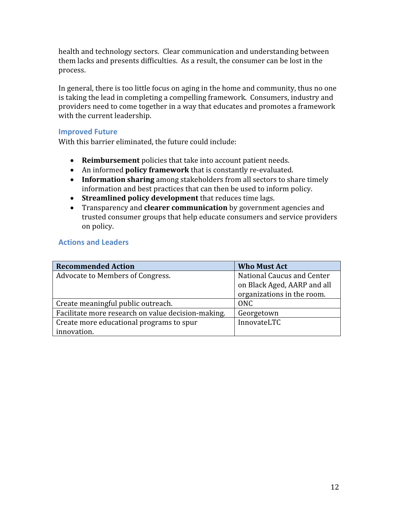health and technology sectors. Clear communication and understanding between them lacks and presents difficulties. As a result, the consumer can be lost in the process.

In general, there is too little focus on aging in the home and community, thus no one is taking the lead in completing a compelling framework. Consumers, industry and providers need to come together in a way that educates and promotes a framework with the current leadership.

### Improved Future

With this barrier eliminated, the future could include:

- Reimbursement policies that take into account patient needs.
- An informed policy framework that is constantly re-evaluated.
- Information sharing among stakeholders from all sectors to share timely information and best practices that can then be used to inform policy.
- Streamlined policy development that reduces time lags.
- Transparency and **clearer communication** by government agencies and trusted consumer groups that help educate consumers and service providers on policy.

### Actions and Leaders

| <b>Recommended Action</b>                          | <b>Who Must Act</b>         |
|----------------------------------------------------|-----------------------------|
| Advocate to Members of Congress.                   | National Caucus and Center  |
|                                                    | on Black Aged, AARP and all |
|                                                    | organizations in the room.  |
| Create meaningful public outreach.                 | ONC                         |
| Facilitate more research on value decision-making. | Georgetown                  |
| Create more educational programs to spur           | InnovateLTC                 |
| innovation.                                        |                             |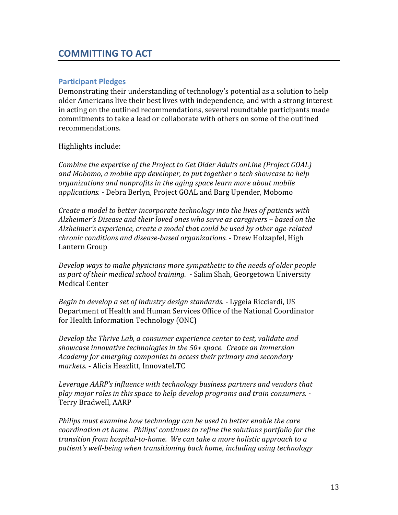# COMMITTING TO ACT

#### Participant Pledges

Demonstrating their understanding of technology's potential as a solution to help older Americans live their best lives with independence, and with a strong interest in acting on the outlined recommendations, several roundtable participants made commitments to take a lead or collaborate with others on some of the outlined recommendations.

Highlights include:

Combine the expertise of the Project to Get Older Adults onLine (Project GOAL) and Mobomo, a mobile app developer, to put together a tech showcase to help organizations and nonprofits in the aging space learn more about mobile applications. - Debra Berlyn, Project GOAL and Barg Upender, Mobomo

Create a model to better incorporate technology into the lives of patients with Alzheimer's Disease and their loved ones who serve as caregivers – based on the Alzheimer's experience, create a model that could be used by other age-related chronic conditions and disease-based organizations. - Drew Holzapfel, High Lantern Group

Develop ways to make physicians more sympathetic to the needs of older people as part of their medical school training. - Salim Shah, Georgetown University Medical Center

Begin to develop a set of industry design standards. - Lygeia Ricciardi, US Department of Health and Human Services Office of the National Coordinator for Health Information Technology (ONC)

Develop the Thrive Lab, a consumer experience center to test, validate and showcase innovative technologies in the 50+ space. Create an Immersion Academy for emerging companies to access their primary and secondary markets. - Alicia Heazlitt, InnovateLTC

Leverage AARP's influence with technology business partners and vendors that play major roles in this space to help develop programs and train consumers. - Terry Bradwell, AARP

Philips must examine how technology can be used to better enable the care coordination at home. Philips' continues to refine the solutions portfolio for the transition from hospital-to-home. We can take a more holistic approach to a patient's well-being when transitioning back home, including using technology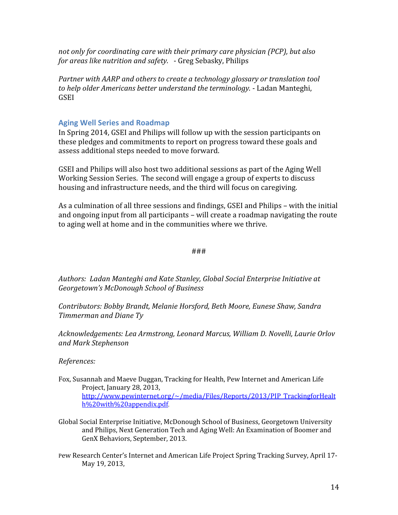not only for coordinating care with their primary care physician (PCP), but also for areas like nutrition and safety. - Greg Sebasky, Philips

Partner with AARP and others to create a technology glossary or translation tool to help older Americans better understand the terminology. - Ladan Manteghi, GSEI

### Aging Well Series and Roadmap

In Spring 2014, GSEI and Philips will follow up with the session participants on these pledges and commitments to report on progress toward these goals and assess additional steps needed to move forward.

GSEI and Philips will also host two additional sessions as part of the Aging Well Working Session Series. The second will engage a group of experts to discuss housing and infrastructure needs, and the third will focus on caregiving.

As a culmination of all three sessions and findings, GSEI and Philips – with the initial and ongoing input from all participants – will create a roadmap navigating the route to aging well at home and in the communities where we thrive.

#### ###

Authors: Ladan Manteghi and Kate Stanley, Global Social Enterprise Initiative at Georgetown's McDonough School of Business

Contributors: Bobby Brandt, Melanie Horsford, Beth Moore, Eunese Shaw, Sandra Timmerman and Diane Ty

Acknowledgements: Lea Armstrong, Leonard Marcus, William D. Novelli, Laurie Orlov and Mark Stephenson

#### References:

- Fox, Susannah and Maeve Duggan, Tracking for Health, Pew Internet and American Life Project, January 28, 2013, http://www.pewinternet.org/~/media/Files/Reports/2013/PIP\_TrackingforHealt h%20with%20appendix.pdf.
- Global Social Enterprise Initiative, McDonough School of Business, Georgetown University and Philips, Next Generation Tech and Aging Well: An Examination of Boomer and GenX Behaviors, September, 2013.
- Pew Research Center's Internet and American Life Project Spring Tracking Survey, April 17- May 19, 2013,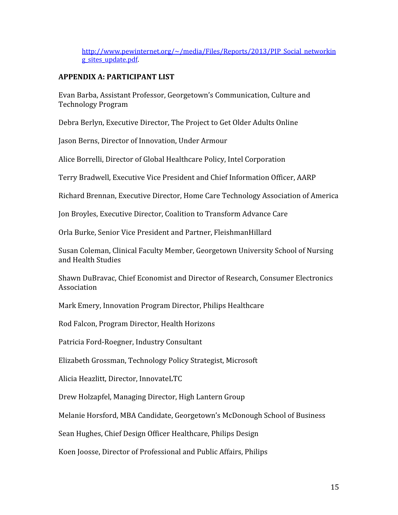http://www.pewinternet.org/~/media/Files/Reports/2013/PIP\_Social\_networkin g sites update.pdf

### APPENDIX A: PARTICIPANT LIST

Evan Barba, Assistant Professor, Georgetown's Communication, Culture and Technology Program

Debra Berlyn, Executive Director, The Project to Get Older Adults Online

Jason Berns, Director of Innovation, Under Armour

Alice Borrelli, Director of Global Healthcare Policy, Intel Corporation

Terry Bradwell, Executive Vice President and Chief Information Officer, AARP

Richard Brennan, Executive Director, Home Care Technology Association of America

Jon Broyles, Executive Director, Coalition to Transform Advance Care

Orla Burke, Senior Vice President and Partner, FleishmanHillard

Susan Coleman, Clinical Faculty Member, Georgetown University School of Nursing and Health Studies

Shawn DuBravac, Chief Economist and Director of Research, Consumer Electronics Association

Mark Emery, Innovation Program Director, Philips Healthcare

Rod Falcon, Program Director, Health Horizons

Patricia Ford-Roegner, Industry Consultant

Elizabeth Grossman, Technology Policy Strategist, Microsoft

Alicia Heazlitt, Director, InnovateLTC

Drew Holzapfel, Managing Director, High Lantern Group

Melanie Horsford, MBA Candidate, Georgetown's McDonough School of Business

Sean Hughes, Chief Design Officer Healthcare, Philips Design

Koen Joosse, Director of Professional and Public Affairs, Philips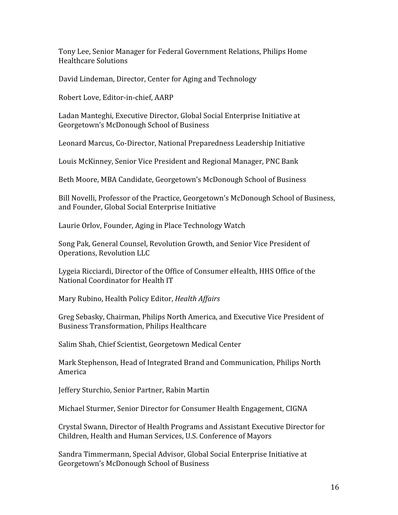Tony Lee, Senior Manager for Federal Government Relations, Philips Home Healthcare Solutions

David Lindeman, Director, Center for Aging and Technology

Robert Love, Editor-in-chief, AARP

Ladan Manteghi, Executive Director, Global Social Enterprise Initiative at Georgetown's McDonough School of Business

Leonard Marcus, Co-Director, National Preparedness Leadership Initiative

Louis McKinney, Senior Vice President and Regional Manager, PNC Bank

Beth Moore, MBA Candidate, Georgetown's McDonough School of Business

Bill Novelli, Professor of the Practice, Georgetown's McDonough School of Business, and Founder, Global Social Enterprise Initiative

Laurie Orlov, Founder, Aging in Place Technology Watch

Song Pak, General Counsel, Revolution Growth, and Senior Vice President of Operations, Revolution LLC

Lygeia Ricciardi, Director of the Office of Consumer eHealth, HHS Office of the National Coordinator for Health IT

Mary Rubino, Health Policy Editor, Health Affairs

Greg Sebasky, Chairman, Philips North America, and Executive Vice President of Business Transformation, Philips Healthcare

Salim Shah, Chief Scientist, Georgetown Medical Center

Mark Stephenson, Head of Integrated Brand and Communication, Philips North America

Jeffery Sturchio, Senior Partner, Rabin Martin

Michael Sturmer, Senior Director for Consumer Health Engagement, CIGNA

Crystal Swann, Director of Health Programs and Assistant Executive Director for Children, Health and Human Services, U.S. Conference of Mayors

Sandra Timmermann, Special Advisor, Global Social Enterprise Initiative at Georgetown's McDonough School of Business